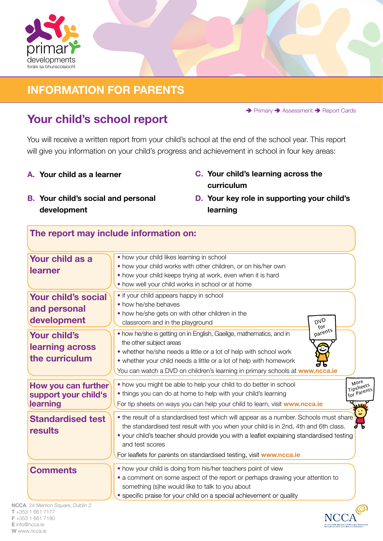

### **INFORMATION FOR PARENTS**

→ Primary → Assessment → Report Cards

# **Your child's school report**

You will receive a written report from your child's school at the end of the school year. This report will give you information on your child's progress and achievement in school in four key areas:

- **A. Your child as a learner**
- **B. Your child's social and personal development**
- **C. Your child's learning across the curriculum**
- **D. Your key role in supporting your child's learning**

#### **The report may include information on:**

| Your child as a<br><b>learner</b>                        | • how your child likes learning in school<br>• how your child works with other children, or on his/her own<br>• how your child keeps trying at work, even when it is hard<br>• how well your child works in school or at home                                                                                                                                      |                                  |
|----------------------------------------------------------|--------------------------------------------------------------------------------------------------------------------------------------------------------------------------------------------------------------------------------------------------------------------------------------------------------------------------------------------------------------------|----------------------------------|
| Your child's social<br>and personal<br>development       | • if your child appears happy in school<br>• how he/she behaves<br>• how he/she gets on with other children in the<br>DVD<br>classroom and in the playground<br>for                                                                                                                                                                                                |                                  |
| <b>Your child's</b><br>learning across<br>the curriculum | parents<br>. how he/she is getting on in English, Gaeilge, mathematics, and in<br>the other subject areas<br>• whether he/she needs a little or a lot of help with school work<br>• whether your child needs a little or a lot of help with homework<br>You can watch a DVD on children's learning in primary schools at www.ncca.ie                               |                                  |
| How you can further<br>support your child's<br>learning  | • how you might be able to help your child to do better in school<br>• things you can do at home to help with your child's learning<br>For tip sheets on ways you can help your child to learn, visit www.ncca.ie                                                                                                                                                  | More<br>Tipsheets<br>for Parents |
| <b>Standardised test</b><br>results                      | • the result of a standardised test which will appear as a number. Schools must share<br>the standardised test result with you when your child is in 2nd, 4th and 6th class.<br>• your child's teacher should provide you with a leaflet explaining standardised testing<br>and test scores<br>For leaflets for parents on standardised testing, visit www.ncca.ie |                                  |
| <b>Comments</b>                                          | • how your child is doing from his/her teachers point of view<br>• a comment on some aspect of the report or perhaps drawing your attention to<br>something (s)he would like to talk to you about<br>• specific praise for your child on a special achievement or quality                                                                                          |                                  |